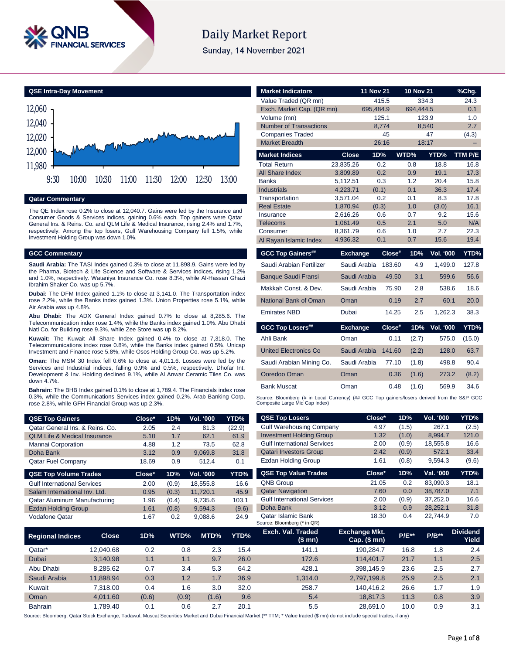

# **Daily Market Report**

Sunday, 14 November 2021

**QSE Intra-Day Movement**



#### **Qatar Commentary**

The QE Index rose 0.2% to close at 12,040.7. Gains were led by the Insurance and Consumer Goods & Services indices, gaining 0.6% each. Top gainers were Qatar General Ins. & Reins. Co. and QLM Life & Medical Insurance, rising 2.4% and 1.7%, respectively. Among the top losers, Gulf Warehousing Company fell 1.5%, while Investment Holding Group was down 1.0%.

#### **GCC Commentary**

**Saudi Arabia:** The TASI Index gained 0.3% to close at 11,898.9. Gains were led by the Pharma, Biotech & Life Science and Software & Services indices, rising 1.2% and 1.0%, respectively. Wataniya Insurance Co. rose 8.3%, while Al-Hassan Ghazi Ibrahim Shaker Co. was up 5.7%.

**Dubai:** The DFM Index gained 1.1% to close at 3,141.0. The Transportation index rose 2.2%, while the Banks index gained 1.3%. Union Properties rose 5.1%, while Air Arabia was up 4.8%.

**Abu Dhabi:** The ADX General Index gained 0.7% to close at 8,285.6. The Telecommunication index rose 1.4%, while the Banks index gained 1.0%. Abu Dhabi Natl Co. for Building rose 9.3%, while Zee Store was up 8.2%.

**Kuwait:** The Kuwait All Share Index gained 0.4% to close at 7,318.0. The Telecommunications index rose 0.8%, while the Banks index gained 0.5%. Unicap Investment and Finance rose 5.8%, while Osos Holding Group Co. was up 5.2%.

**Oman:** The MSM 30 Index fell 0.6% to close at 4,011.6. Losses were led by the Services and Industrial indices, falling 0.9% and 0.5%, respectively. Dhofar Int. Development & Inv. Holding declined 9.1%, while Al Anwar Ceramic Tiles Co. was down 4.7%.

**Bahrain:** The BHB Index gained 0.1% to close at 1,789.4. The Financials index rose 0.3%, while the Communications Services index gained 0.2%. Arab Banking Corp. rose 2.8%, while GFH Financial Group was up 2.3%.

| <b>QSE Top Gainers</b>                  | $Close*$ | 1D%   | <b>Vol. '000</b> | YTD%   |
|-----------------------------------------|----------|-------|------------------|--------|
| Oatar General Ins. & Reins. Co.         | 2.05     | 2.4   | 81.3             | (22.9) |
| <b>OLM Life &amp; Medical Insurance</b> | 5.10     | 1.7   | 62.1             | 61.9   |
| Mannai Corporation                      | 4.88     | 1.2   | 73.5             | 62.8   |
| Doha Bank                               | 3.12     | 0.9   | 9.069.8          | 31.8   |
| <b>Qatar Fuel Company</b>               | 18.69    | 0.9   | 512.4            | 0.1    |
|                                         |          |       |                  |        |
| <b>QSE Top Volume Trades</b>            | Close*   | 1D%   | Vol. '000        | YTD%   |
| <b>Gulf International Services</b>      | 2.00     | (0.9) | 18.555.8         | 16.6   |
| Salam International Inv. Ltd.           | 0.95     | (0.3) | 11.720.1         | 45.9   |
| Qatar Aluminum Manufacturing            | 1.96     | (0.4) | 9.735.6          | 103.1  |
| <b>Ezdan Holding Group</b>              | 1.61     | (0.8) | 9.594.3          | (9.6)  |

| <b>Market Indicators</b>                         |                      | <b>11 Nov 21</b> |             | <b>10 Nov 21</b> |                  | %Chg.        |
|--------------------------------------------------|----------------------|------------------|-------------|------------------|------------------|--------------|
| Value Traded (QR mn)                             |                      |                  | 415.5       | 334.3            |                  | 24.3         |
| Exch. Market Cap. (QR mn)                        |                      | 695,484.9        |             | 694.444.5        |                  | 0.1          |
| Volume (mn)                                      |                      |                  | 125.1       | 123.9            |                  | 1.0          |
| <b>Number of Transactions</b>                    |                      |                  | 8.774       | 8.540            |                  | 2.7          |
| <b>Companies Traded</b><br><b>Market Breadth</b> |                      |                  | 45<br>26:16 | 18:17            | 47               | (4.3)        |
|                                                  |                      |                  |             |                  |                  |              |
| <b>Market Indices</b>                            | <b>Close</b>         | 1D%              |             | WTD%             | YTD%             | TTM P/E      |
| <b>Total Return</b>                              | 23.835.26            |                  | 0.2         | 0.8              | 18.8             | 16.8         |
| <b>All Share Index</b>                           | 3.809.89             |                  | 0.2         | 0.9              | 19.1             | 17.3         |
| <b>Banks</b>                                     | 5,112.51             |                  | 0.3         | 1.2              | 20.4             | 15.8         |
| <b>Industrials</b><br>Transportation             | 4.223.71<br>3,571.04 | (0.1)            | 0.2         | 0.1<br>0.1       | 36.3<br>8.3      | 17.4<br>17.8 |
| <b>Real Estate</b>                               | 1.870.94             | (0.3)            |             | 1.0              | (3.0)            | 16.1         |
| Insurance                                        | 2.616.26             |                  | 0.6         | 0.7              | 9.2              | 15.6         |
| <b>Telecoms</b>                                  | 1.061.49             |                  | 0.5         | 2.1              | 5.0              | N/A          |
| Consumer                                         | 8.361.79             |                  | 0.6         | 1.0              | 2.7              | 22.3         |
| Al Rayan Islamic Index                           | 4.936.32             |                  | 0.1         | 0.7              | 15.6             | 19.4         |
|                                                  |                      |                  |             |                  |                  |              |
| <b>GCC Top Gainers##</b>                         | <b>Exchange</b>      |                  | $Close^*$   | 1D%              | <b>Vol. '000</b> | YTD%         |
| Saudi Arabian Fertilizer                         | Saudi Arabia         |                  | 183.60      | 4.9              | 1.499.0          | 127.8        |
| <b>Banque Saudi Fransi</b>                       | Saudi Arabia         |                  | 49.50       | 3.1              | 599.6            | 56.6         |
| Makkah Const, & Dev.                             | Saudi Arabia         |                  | 75.90       | 2.8              | 538.6            | 18.6         |
| <b>National Bank of Oman</b>                     | Oman                 |                  | 0.19        | 2.7              | 60.1             | 20.0         |
| <b>Emirates NBD</b>                              | Dubai                |                  | 14.25       | 2.5              | 1.262.3          | 38.3         |
| <b>GCC Top Losers##</b>                          | <b>Exchange</b>      |                  | $Close^*$   | 1D%              | Vol. '000        | YTD%         |
| Ahli Bank                                        | Oman                 |                  | 0.11        | (2.7)            | 575.0            | (15.0)       |
| <b>United Electronics Co</b>                     | Saudi Arabia         |                  | 141.60      | (2.2)            | 128.0            | 63.7         |
| Saudi Arabian Mining Co.                         | Saudi Arabia         |                  | 77.10       | (1.8)            | 498.8            | 90.4         |
| Ooredoo Oman                                     | Oman                 |                  | 0.36        | (1.6)            | 273.2            | (8.2)        |
| <b>Bank Muscat</b>                               | Oman                 |                  | 0.48        | (1.6)            | 569.9            | 34.6         |

| <b>QSE Top Gainers</b>                  |              | Close* | 1D%   | Vol. '000        | YTD%   | <b>QSE Top Losers</b>                                    | Close*                                   | 1D%          | Vol. '000 | YTD%                     |
|-----------------------------------------|--------------|--------|-------|------------------|--------|----------------------------------------------------------|------------------------------------------|--------------|-----------|--------------------------|
| Qatar General Ins. & Reins. Co.         |              | 2.05   | 2.4   | 81.3             | (22.9) | <b>Gulf Warehousing Company</b>                          | 4.97                                     | (1.5)        | 267.1     | (2.5)                    |
| <b>QLM Life &amp; Medical Insurance</b> |              | 5.10   | 1.7   | 62.1             | 61.9   | <b>Investment Holding Group</b>                          | 1.32                                     | (1.0)        | 8,994.7   | 121.0                    |
| Mannai Corporation                      |              | 4.88   | 1.2   | 73.5             | 62.8   | <b>Gulf International Services</b>                       | 2.00                                     | (0.9)        | 18,555.8  | 16.6                     |
| Doha Bank                               |              | 3.12   | 0.9   | 9,069.8          | 31.8   | <b>Qatari Investors Group</b>                            | 2.42                                     | (0.9)        | 572.1     | 33.4                     |
| <b>Qatar Fuel Company</b>               |              | 18.69  | 0.9   | 512.4            | 0.1    | <b>Ezdan Holding Group</b>                               | 1.61                                     | (0.8)        | 9,594.3   | (9.6)                    |
| <b>QSE Top Volume Trades</b>            |              | Close* | 1D%   | <b>Vol. '000</b> | YTD%   | <b>QSE Top Value Trades</b>                              | Close*                                   | 1D%          | Val. '000 | YTD%                     |
| Gulf International Services             |              | 2.00   | (0.9) | 18,555.8         | 16.6   | QNB Group                                                | 21.05                                    | 0.2          | 83,090.3  | 18.1                     |
| Salam International Inv. Ltd.           |              | 0.95   | (0.3) | 11,720.1         | 45.9   | <b>Qatar Navigation</b>                                  | 7.60                                     | 0.0          | 38,787.0  | 7.1                      |
| Qatar Aluminum Manufacturing            |              | 1.96   | (0.4) | 9,735.6          | 103.1  | <b>Gulf International Services</b>                       | 2.00                                     | (0.9)        | 37,252.0  | 16.6                     |
| <b>Ezdan Holding Group</b>              |              | 1.61   | (0.8) | 9,594.3          | (9.6)  | Doha Bank                                                | 3.12                                     | 0.9          | 28,252.1  | 31.8                     |
| Vodafone Qatar                          |              | 1.67   | 0.2   | 9,088.6          | 24.9   | <b>Qatar Islamic Bank</b><br>Source: Bloomberg (* in QR) | 18.30                                    | 0.4          | 22,744.9  | 7.0                      |
| <b>Regional Indices</b>                 | <b>Close</b> | 1D%    | WTD%  | MTD%             | YTD%   | Exch. Val. Traded<br>(\$ mn)                             | <b>Exchange Mkt.</b><br>Cap. $($$ mn $)$ | <b>P/E**</b> | $P/B**$   | <b>Dividend</b><br>Yield |
| Qatar*                                  | 12,040.68    | 0.2    | 0.8   | 2.3              | 15.4   | 141.1                                                    | 190,284.7                                | 16.8         | 1.8       | 2.4                      |
| Dubai                                   | 3,140.98     | 1.1    | 1.1   | 9.7              | 26.0   | 172.6                                                    | 114,401.7                                | 21.7         | 1.1       | 2.5                      |
| Abu Dhabi                               | 8,285.62     | 0.7    | 3.4   | 5.3              | 64.2   | 428.1                                                    | 398,145.9                                | 23.6         | 2.5       | 2.7                      |
| Saudi Arabia                            | 11,898.94    | 0.3    | 1.2   | 1.7              | 36.9   | 1,314.0                                                  | 2,797,199.8                              | 25.9         | 2.5       | 2.1                      |
| Kuwait                                  | 7,318.00     | 0.4    | 1.6   | 3.0              | 32.0   | 258.7                                                    | 140,416.2                                | 26.6         | 1.7       | 1.9                      |
| Oman                                    | 4,011.60     | (0.6)  | (0.9) | (1.6)            | 9.6    | 5.4                                                      | 18,817.3                                 | 11.3         | 0.8       | 3.9                      |
| Bahrain                                 | 1,789.40     | 0.1    | 0.6   | 2.7              | 20.1   | 5.5                                                      | 28,691.0                                 | 10.0         | 0.9       | 3.1                      |

Source: Bloomberg, Qatar Stock Exchange, Tadawul, Muscat Securities Market and Dubai Financial Market (\*\* TTM; \* Value traded (\$ mn) do not include special trades, if any)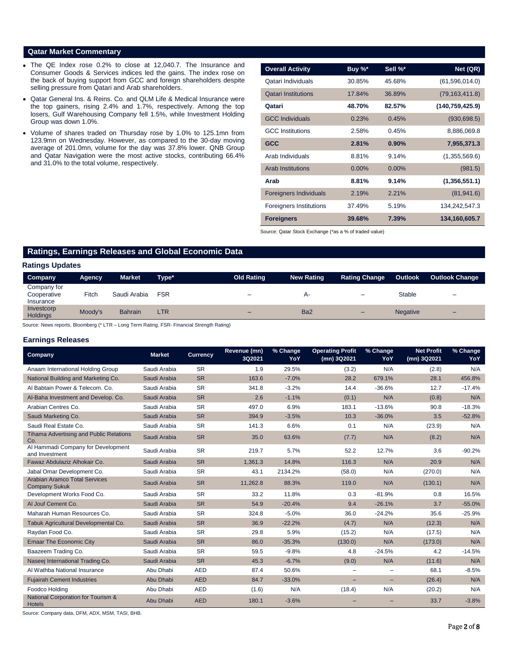# **Qatar Market Commentary**

- The QE Index rose 0.2% to close at 12,040.7. The Insurance and Consumer Goods & Services indices led the gains. The index rose on the back of buying support from GCC and foreign shareholders despite selling pressure from Qatari and Arab shareholders.
- Qatar General Ins. & Reins. Co. and QLM Life & Medical Insurance were the top gainers, rising 2.4% and 1.7%, respectively. Among the top losers, Gulf Warehousing Company fell 1.5%, while Investment Holding Group was down 1.0%.
- Volume of shares traded on Thursday rose by 1.0% to 125.1mn from 123.9mn on Wednesday. However, as compared to the 30-day moving average of 201.0mn, volume for the day was 37.8% lower. QNB Group and Qatar Navigation were the most active stocks, contributing 66.4% and 31.0% to the total volume, respectively.

| <b>Overall Activity</b>        | Buy %*   | Sell %*  | Net (QR)          |
|--------------------------------|----------|----------|-------------------|
| Qatari Individuals             | 30.85%   | 45.68%   | (61,596,014.0)    |
| <b>Qatari Institutions</b>     | 17.84%   | 36.89%   | (79, 163, 411.8)  |
| Qatari                         | 48.70%   | 82.57%   | (140, 759, 425.9) |
| <b>GCC Individuals</b>         | 0.23%    | 0.45%    | (930, 698.5)      |
| <b>GCC</b> Institutions        | 2.58%    | 0.45%    | 8,886,069.8       |
| <b>GCC</b>                     | 2.81%    | 0.90%    | 7,955,371.3       |
| Arab Individuals               | 8.81%    | 9.14%    | (1,355,569.6)     |
| <b>Arab Institutions</b>       | $0.00\%$ | $0.00\%$ | (981.5)           |
| Arab                           | 8.81%    | 9.14%    | (1,356,551.1)     |
| <b>Foreigners Individuals</b>  | 2.19%    | 2.21%    | (81, 941.6)       |
| <b>Foreigners Institutions</b> | 37.49%   | 5.19%    | 134,242,547.3     |
| <b>Foreigners</b>              | 39.68%   | 7.39%    | 134,160,605.7     |

Source: Qatar Stock Exchange (\*as a % of traded value)

# **Ratings, Earnings Releases and Global Economic Data**

#### **Ratings Updates**

| Company                                 | Agency  | <b>Market</b>  | Type*      | <b>Old Rating</b> | <b>New Rating</b> | <b>Rating Change</b> | <b>Outlook</b>  | <b>Outlook Change</b>    |
|-----------------------------------------|---------|----------------|------------|-------------------|-------------------|----------------------|-----------------|--------------------------|
|                                         |         |                |            |                   |                   |                      |                 |                          |
| Company for<br>Cooperative<br>Insurance | Fitch   | Saudi Arabia   | <b>FSR</b> | -                 | А-                | -                    | <b>Stable</b>   | -                        |
| Investcorp<br><b>Holdings</b>           | Moody's | <b>Bahrain</b> | LTR        | -                 | Ba <sub>2</sub>   | -                    | <b>Negative</b> | $\overline{\phantom{0}}$ |
|                                         |         |                |            |                   |                   |                      |                 |                          |

Source: News reports, Bloomberg (\* LTR – Long Term Rating, FSR- Financial Strength Rating)

#### **Earnings Releases**

| <b>Company</b>                                               | <b>Market</b> | <b>Currency</b> | Revenue (mn)<br>3Q2021 | % Change<br>YoY | <b>Operating Profit</b><br>(mn) 3Q2021 | % Change<br>YoY | <b>Net Profit</b><br>(mn) 3Q2021 | % Change<br>YoY |
|--------------------------------------------------------------|---------------|-----------------|------------------------|-----------------|----------------------------------------|-----------------|----------------------------------|-----------------|
| Anaam International Holding Group                            | Saudi Arabia  | <b>SR</b>       | 1.9                    | 29.5%           | (3.2)                                  | N/A             | (2.8)                            | N/A             |
| National Building and Marketing Co.                          | Saudi Arabia  | <b>SR</b>       | 163.6                  | $-7.0%$         | 28.2                                   | 679.1%          | 28.1                             | 456.8%          |
| Al Babtain Power & Telecom, Co.                              | Saudi Arabia  | <b>SR</b>       | 341.8                  | $-3.2%$         | 14.4                                   | $-36.6%$        | 12.7                             | $-17.4%$        |
| Al-Baha Investment and Develop. Co.                          | Saudi Arabia  | <b>SR</b>       | 2.6                    | $-1.1%$         | (0.1)                                  | N/A             | (0.8)                            | N/A             |
| Arabian Centres Co.                                          | Saudi Arabia  | <b>SR</b>       | 497.0                  | 6.9%            | 183.1                                  | $-13.6%$        | 90.8                             | $-18.3%$        |
| Saudi Marketing Co.                                          | Saudi Arabia  | <b>SR</b>       | 394.9                  | $-3.5%$         | 10.3                                   | $-36.0%$        | 3.5                              | $-52.8%$        |
| Saudi Real Estate Co.                                        | Saudi Arabia  | <b>SR</b>       | 141.3                  | 6.6%            | 0.1                                    | N/A             | (23.9)                           | N/A             |
| <b>Tihama Advertising and Public Relations</b><br>Co.        | Saudi Arabia  | <b>SR</b>       | 35.0                   | 63.6%           | (7.7)                                  | N/A             | (8.2)                            | N/A             |
| Al Hammadi Company for Development<br>and Investment         | Saudi Arabia  | <b>SR</b>       | 219.7                  | 5.7%            | 52.2                                   | 12.7%           | 3.6                              | $-90.2%$        |
| Fawaz Abdulaziz Alhokair Co.                                 | Saudi Arabia  | <b>SR</b>       | 1,361.3                | 14.8%           | 116.3                                  | N/A             | 20.9                             | N/A             |
| Jabal Omar Development Co.                                   | Saudi Arabia  | <b>SR</b>       | 43.1                   | 2134.2%         | (58.0)                                 | N/A             | (270.0)                          | N/A             |
| <b>Arabian Aramco Total Services</b><br><b>Company Sukuk</b> | Saudi Arabia  | <b>SR</b>       | 11,262.8               | 88.3%           | 119.0                                  | N/A             | (130.1)                          | N/A             |
| Development Works Food Co.                                   | Saudi Arabia  | <b>SR</b>       | 33.2                   | 11.8%           | 0.3                                    | $-81.9%$        | 0.8                              | 16.5%           |
| Al Jouf Cement Co.                                           | Saudi Arabia  | <b>SR</b>       | 54.9                   | $-20.4%$        | 9.4                                    | $-26.1%$        | 3.7                              | $-55.0%$        |
| Maharah Human Resources Co.                                  | Saudi Arabia  | <b>SR</b>       | 324.8                  | $-5.0%$         | 36.0                                   | $-24.2%$        | 35.6                             | $-25.9%$        |
| Tabuk Agricultural Developmental Co.                         | Saudi Arabia  | <b>SR</b>       | 36.9                   | $-22.2%$        | (4.7)                                  | N/A             | (12.3)                           | N/A             |
| Raydan Food Co.                                              | Saudi Arabia  | <b>SR</b>       | 29.8                   | 5.9%            | (15.2)                                 | N/A             | (17.5)                           | N/A             |
| <b>Emaar The Economic City</b>                               | Saudi Arabia  | <b>SR</b>       | 86.0                   | $-35.3%$        | (130.0)                                | N/A             | (173.0)                          | N/A             |
| Baazeem Trading Co.                                          | Saudi Arabia  | <b>SR</b>       | 59.5                   | $-9.8%$         | 4.8                                    | $-24.5%$        | 4.2                              | $-14.5%$        |
| Naseej International Trading Co.                             | Saudi Arabia  | <b>SR</b>       | 45.3                   | $-6.7%$         | (9.0)                                  | N/A             | (11.6)                           | N/A             |
| Al Wathba National Insurance                                 | Abu Dhabi     | <b>AED</b>      | 87.4                   | 50.6%           |                                        |                 | 68.1                             | $-8.5%$         |
| <b>Fujairah Cement Industries</b>                            | Abu Dhabi     | <b>AED</b>      | 84.7                   | $-33.0%$        |                                        |                 | (26.4)                           | N/A             |
| Foodco Holding                                               | Abu Dhabi     | <b>AED</b>      | (1.6)                  | N/A             | (18.4)                                 | N/A             | (20.2)                           | N/A             |
| National Corporation for Tourism &<br><b>Hotels</b>          | Abu Dhabi     | <b>AED</b>      | 180.1                  | $-3.6%$         |                                        |                 | 33.7                             | $-3.8%$         |

Source: Company data, DFM, ADX, MSM, TASI, BHB.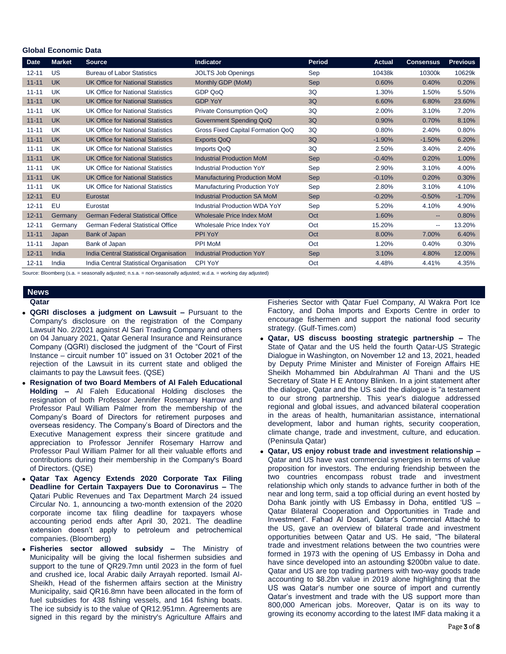### **Global Economic Data**

| <b>Date</b> | <b>Market</b> | <b>Source</b>                            | <b>Indicator</b>                     | <b>Period</b> | <b>Actual</b> | <b>Consensus</b> | <b>Previous</b> |
|-------------|---------------|------------------------------------------|--------------------------------------|---------------|---------------|------------------|-----------------|
| $12 - 11$   | US            | <b>Bureau of Labor Statistics</b>        | <b>JOLTS Job Openings</b>            | Sep           | 10438k        | 10300k           | 10629k          |
| $11 - 11$   | <b>UK</b>     | <b>UK Office for National Statistics</b> | Monthly GDP (MoM)                    | <b>Sep</b>    | 0.60%         | 0.40%            | 0.20%           |
| $11 - 11$   | UK            | UK Office for National Statistics        | GDP QoQ                              | 3Q            | 1.30%         | 1.50%            | 5.50%           |
| $11 - 11$   | <b>UK</b>     | <b>UK Office for National Statistics</b> | <b>GDP YoY</b>                       | 3Q            | 6.60%         | 6.80%            | 23.60%          |
| $11 - 11$   | UK            | UK Office for National Statistics        | Private Consumption QoQ              | 3Q            | 2.00%         | 3.10%            | 7.20%           |
| $11 - 11$   | <b>UK</b>     | <b>UK Office for National Statistics</b> | Government Spending QoQ              | 3Q            | 0.90%         | 0.70%            | 8.10%           |
| $11 - 11$   | UK            | UK Office for National Statistics        | Gross Fixed Capital Formation QoQ    | 3Q            | 0.80%         | 2.40%            | 0.80%           |
| $11 - 11$   | <b>UK</b>     | <b>UK Office for National Statistics</b> | <b>Exports QoQ</b>                   | 3Q            | $-1.90%$      | $-1.50%$         | 6.20%           |
| $11 - 11$   | UK            | UK Office for National Statistics        | Imports QoQ                          | 3Q            | 2.50%         | 3.40%            | 2.40%           |
| $11 - 11$   | <b>UK</b>     | <b>UK Office for National Statistics</b> | <b>Industrial Production MoM</b>     | <b>Sep</b>    | $-0.40%$      | 0.20%            | 1.00%           |
| $11 - 11$   | UK            | UK Office for National Statistics        | <b>Industrial Production YoY</b>     | Sep           | 2.90%         | 3.10%            | 4.00%           |
| $11 - 11$   | <b>UK</b>     | <b>UK Office for National Statistics</b> | <b>Manufacturing Production MoM</b>  | <b>Sep</b>    | $-0.10%$      | 0.20%            | 0.30%           |
| $11 - 11$   | UK            | UK Office for National Statistics        | Manufacturing Production YoY         | Sep           | 2.80%         | 3.10%            | 4.10%           |
| $12 - 11$   | <b>EU</b>     | Eurostat                                 | <b>Industrial Production SA MoM</b>  | <b>Sep</b>    | $-0.20%$      | $-0.50%$         | $-1.70%$        |
| $12 - 11$   | EU            | Eurostat                                 | <b>Industrial Production WDA YoY</b> | Sep           | 5.20%         | 4.10%            | 4.90%           |
| $12 - 11$   | Germany       | <b>German Federal Statistical Office</b> | <b>Wholesale Price Index MoM</b>     | Oct           | 1.60%         | --               | 0.80%           |
| $12 - 11$   | Germany       | <b>German Federal Statistical Office</b> | Wholesale Price Index YoY            | Oct           | 15.20%        | ۰.               | 13.20%          |
| $11 - 11$   | Japan         | Bank of Japan                            | PPI YoY                              | Oct           | 8.00%         | 7.00%            | 6.40%           |
| $11 - 11$   | Japan         | Bank of Japan                            | <b>PPI MoM</b>                       | Oct           | 1.20%         | 0.40%            | 0.30%           |
| $12 - 11$   | India         | India Central Statistical Organisation   | <b>Industrial Production YoY</b>     | <b>Sep</b>    | 3.10%         | 4.80%            | 12.00%          |
| $12 - 11$   | India         | India Central Statistical Organisation   | <b>CPI YoY</b>                       | Oct           | 4.48%         | 4.41%            | 4.35%           |

Source: Bloomberg (s.a. = seasonally adjusted; n.s.a. = non-seasonally adjusted; w.d.a. = working day adjusted)

# **News**

#### **Qatar**

- **QGRI discloses a judgment on Lawsuit –** Pursuant to the Company's disclosure on the registration of the Company Lawsuit No. 2/2021 against Al Sari Trading Company and others on 04 January 2021, Qatar General Insurance and Reinsurance Company (QGRI) disclosed the judgment of the "Court of First Instance – circuit number 10" issued on 31 October 2021 of the rejection of the Lawsuit in its current state and obliged the claimants to pay the Lawsuit fees. (QSE)
- **Resignation of two Board Members of Al Faleh Educational Holding –** Al Faleh Educational Holding discloses the resignation of both Professor Jennifer Rosemary Harrow and Professor Paul William Palmer from the membership of the Company's Board of Directors for retirement purposes and overseas residency. The Company's Board of Directors and the Executive Management express their sincere gratitude and appreciation to Professor Jennifer Rosemary Harrow and Professor Paul William Palmer for all their valuable efforts and contributions during their membership in the Company's Board of Directors. (QSE)
- **Qatar Tax Agency Extends 2020 Corporate Tax Filing Deadline for Certain Taxpayers Due to Coronavirus –** The Qatari Public Revenues and Tax Department March 24 issued Circular No. 1, announcing a two-month extension of the 2020 corporate income tax filing deadline for taxpayers whose accounting period ends after April 30, 2021. The deadline extension doesn't apply to petroleum and petrochemical companies. (Bloomberg)
- **Fisheries sector allowed subsidy –** The Ministry of Municipality will be giving the local fishermen subsidies and support to the tune of QR29.7mn until 2023 in the form of fuel and crushed ice, local Arabic daily Arrayah reported. Ismail Al-Sheikh, Head of the fishermen affairs section at the Ministry Municipality, said QR16.8mn have been allocated in the form of fuel subsidies for 438 fishing vessels, and 164 fishing boats. The ice subsidy is to the value of QR12.951mn. Agreements are signed in this regard by the ministry's Agriculture Affairs and

Fisheries Sector with Qatar Fuel Company, Al Wakra Port Ice Factory, and Doha Imports and Exports Centre in order to encourage fishermen and support the national food security strategy. (Gulf-Times.com)

- **Qatar, US discuss boosting strategic partnership –** The State of Qatar and the US held the fourth Qatar-US Strategic Dialogue in Washington, on November 12 and 13, 2021, headed by Deputy Prime Minister and Minister of Foreign Affairs HE Sheikh Mohammed bin Abdulrahman Al Thani and the US Secretary of State H E Antony Blinken. In a joint statement after the dialogue, Qatar and the US said the dialogue is "a testament to our strong partnership. This year's dialogue addressed regional and global issues, and advanced bilateral cooperation in the areas of health, humanitarian assistance, international development, labor and human rights, security cooperation, climate change, trade and investment, culture, and education. (Peninsula Qatar)
- **Qatar, US enjoy robust trade and investment relationship –** Qatar and US have vast commercial synergies in terms of value proposition for investors. The enduring friendship between the two countries encompass robust trade and investment relationship which only stands to advance further in both of the near and long term, said a top official during an event hosted by Doha Bank jointly with US Embassy in Doha, entitled 'US – Qatar Bilateral Cooperation and Opportunities in Trade and Investment'. Fahad Al Dosari, Qatar's Commercial Attaché to the US, gave an overview of bilateral trade and investment opportunities between Qatar and US. He said, "The bilateral trade and investment relations between the two countries were formed in 1973 with the opening of US Embassy in Doha and have since developed into an astounding \$200bn value to date. Qatar and US are top trading partners with two-way goods trade accounting to \$8.2bn value in 2019 alone highlighting that the US was Qatar's number one source of import and currently Qatar's investment and trade with the US support more than 800,000 American jobs. Moreover, Qatar is on its way to growing its economy according to the latest IMF data making it a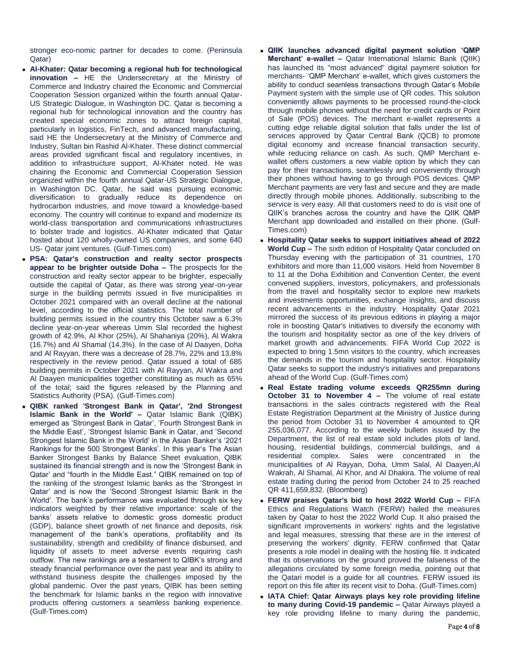stronger eco-nomic partner for decades to come. (Peninsula Qatar)

- **Al-Khater: Qatar becoming a regional hub for technological innovation –** HE the Undersecretary at the Ministry of Commerce and Industry chaired the Economic and Commercial Cooperation Session organized within the fourth annual Qatar-US Strategic Dialogue, in Washington DC. Qatar is becoming a regional hub for technological innovation and the country has created special economic zones to attract foreign capital, particularly in logistics, FinTech, and advanced manufacturing, said HE the Undersecretary at the Ministry of Commerce and Industry, Sultan bin Rashid Al-Khater. These distinct commercial areas provided significant fiscal and regulatory incentives, in addition to infrastructure support, Al-Khater noted. He was chairing the Economic and Commercial Cooperation Session organized within the fourth annual Qatar-US Strategic Dialogue, in Washington DC. Qatar, he said was pursuing economic diversification to gradually reduce its dependence on hydrocarbon industries, and move toward a knowledge-based economy. The country will continue to expand and modernize its world-class transportation and communications infrastructures to bolster trade and logistics. Al-Khater indicated that Qatar hosted about 120 wholly-owned US companies, and some 640 US- Qatar joint ventures. (Gulf-Times.com)
- **PSA: Qatar's construction and realty sector prospects appear to be brighter outside Doha –** The prospects for the construction and realty sector appear to be brighter, especially outside the capital of Qatar, as there was strong year-on-year surge in the building permits issued in five municipalities in October 2021 compared with an overall decline at the national level, according to the official statistics. The total number of building permits issued in the country this October saw a 6.3% decline year-on-year whereas Umm Slal recorded the highest growth of 42.9%, Al Khor (25%), Al Shahaniya (20%), Al Wakra (16.7%) and Al Shamal (14.3%). In the case of Al Daayen, Doha and Al Rayyan, there was a decrease of 28.7%, 22% and 13.8% respectively in the review period. Qatar issued a total of 685 building permits in October 2021 with Al Rayyan, Al Wakra and Al Daayen municipalities together constituting as much as 65% of the total; said the figures released by the Planning and Statistics Authority (PSA). (Gulf-Times.com)
- **QIBK ranked 'Strongest Bank in Qatar', '2nd Strongest Islamic Bank in the World' –** Qatar Islamic Bank (QIBK) emerged as 'Strongest Bank in Qatar', 'Fourth Strongest Bank in the Middle East', 'Strongest Islamic Bank in Qatar, and 'Second Strongest Islamic Bank in the World' in the Asian Banker's '2021 Rankings for the 500 Strongest Banks'. In this year's The Asian Banker Strongest Banks by Balance Sheet evaluation, QIBK sustained its financial strength and is now the 'Strongest Bank in Qatar' and "fourth in the Middle East." QIBK remained on top of the ranking of the strongest Islamic banks as the 'Strongest in Qatar' and is now the 'Second Strongest Islamic Bank in the World'. The bank's performance was evaluated through six key indicators weighted by their relative importance: scale of the banks' assets relative to domestic gross domestic product (GDP), balance sheet growth of net finance and deposits, risk management of the bank's operations, profitability and its sustainability, strength and credibility of finance disbursed, and liquidity of assets to meet adverse events requiring cash outflow. The new rankings are a testament to QIBK's strong and steady financial performance over the past year and its ability to withstand business despite the challenges imposed by the global pandemic. Over the past years, QIBK has been setting the benchmark for Islamic banks in the region with innovative products offering customers a seamless banking experience. (Gulf-Times.com)
- **QIIK launches advanced digital payment solution 'QMP Merchant' e-wallet –** Qatar International Islamic Bank (QIIK) has launched its "most advanced" digital payment solution for merchants- 'QMP Merchant' e-wallet, which gives customers the ability to conduct seamless transactions through Qatar's Mobile Payment system with the simple use of QR codes. This solution conveniently allows payments to be processed round-the-clock through mobile phones without the need for credit cards or Point of Sale (POS) devices. The merchant e-wallet represents a cutting edge reliable digital solution that falls under the list of services approved by Qatar Central Bank (QCB) to promote digital economy and increase financial transaction security, while reducing reliance on cash. As such, QMP Merchant ewallet offers customers a new viable option by which they can pay for their transactions, seamlessly and conveniently through their phones without having to go through POS devices. QMP Merchant payments are very fast and secure and they are made directly through mobile phones. Additionally, subscribing to the service is very easy. All that customers need to do is visit one of QIIK's branches across the country and have the QIIK QMP Merchant app downloaded and installed on their phone. (Gulf-Times.com)
- **Hospitality Qatar seeks to support initiatives ahead of 2022 World Cup –** The sixth edition of Hospitality Qatar concluded on Thursday evening with the participation of 31 countries, 170 exhibitors and more than 11,000 visitors. Held from November 8 to 11 at the Doha Exhibition and Convention Center, the event convened suppliers, investors, policymakers, and professionals from the travel and hospitality sector to explore new markets and investments opportunities, exchange insights, and discuss recent advancements in the industry. Hospitality Qatar 2021 mirrored the success of its previous editions in playing a major role in boosting Qatar's initiatives to diversify the economy with the tourism and hospitality sector as one of the key drivers of market growth and advancements. FIFA World Cup 2022 is expected to bring 1.5mn visitors to the country, which increases the demands in the tourism and hospitality sector. Hospitality Qatar seeks to support the industry's initiatives and preparations ahead of the World Cup. (Gulf-Times.com)
- **Real Estate trading volume exceeds QR255mn during October 31 to November 4 –** The volume of real estate transactions in the sales contracts registered with the Real Estate Registration Department at the Ministry of Justice during the period from October 31 to November 4 amounted to QR 255,036,077. According to the weekly bulletin issued by the Department, the list of real estate sold includes plots of land, housing, residential buildings, commercial buildings, and a residential complex. Sales were concentrated in the municipalities of Al Rayyan, Doha, Umm Salal, Al Daayen,Al Wakrah, Al Shamal, Al Khor, and Al Dhakira. The volume of real estate trading during the period from October 24 to 25 reached QR 411,659,832. (Bloomberg)
- **FERW praises Qatar's bid to host 2022 World Cup –** FIFA Ethics and Regulations Watch (FERW) hailed the measures taken by Qatar to host the 2022 World Cup. It also praised the significant improvements in workers' rights and the legislative and legal measures, stressing that these are in the interest of preserving the workers' dignity. FERW confirmed that Qatar presents a role model in dealing with the hosting file. It indicated that its observations on the ground proved the falseness of the allegations circulated by some foreign media, pointing out that the Qatari model is a guide for all countries. FERW issued its report on this file after its recent visit to Doha. (Gulf-Times.com)
- **IATA Chief: Qatar Airways plays key role providing lifeline to many during Covid-19 pandemic –** Qatar Airways played a key role providing lifeline to many during the pandemic,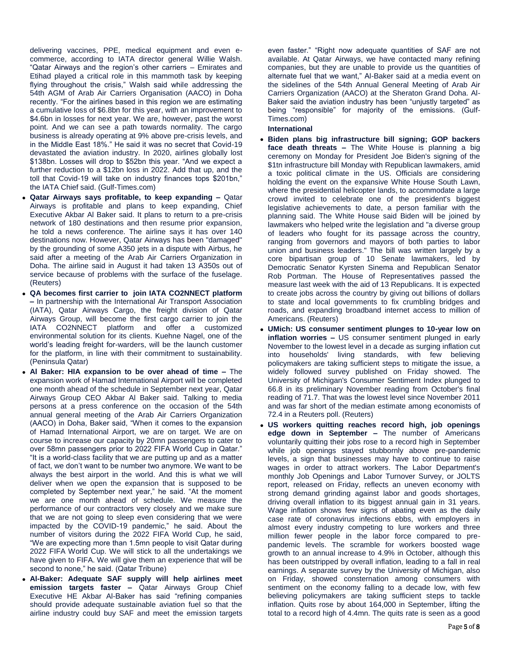delivering vaccines, PPE, medical equipment and even ecommerce, according to IATA director general Willie Walsh. "Qatar Airways and the region's other carriers – Emirates and Etihad played a critical role in this mammoth task by keeping flying throughout the crisis," Walsh said while addressing the 54th AGM of Arab Air Carriers Organisation (AACO) in Doha recently. "For the airlines based in this region we are estimating a cumulative loss of \$6.8bn for this year, with an improvement to \$4.6bn in losses for next year. We are, however, past the worst point. And we can see a path towards normality. The cargo business is already operating at 9% above pre-crisis levels, and in the Middle East 18%." He said it was no secret that Covid-19 devastated the aviation industry. In 2020, airlines globally lost \$138bn. Losses will drop to \$52bn this year. "And we expect a further reduction to a \$12bn loss in 2022. Add that up, and the toll that Covid-19 will take on industry finances tops \$201bn," the IATA Chief said. (Gulf-Times.com)

- **Qatar Airways says profitable, to keep expanding –** Qatar Airways is profitable and plans to keep expanding, Chief Executive Akbar Al Baker said. It plans to return to a pre-crisis network of 180 destinations and then resume prior expansion, he told a news conference. The airline says it has over 140 destinations now. However, Qatar Airways has been "damaged" by the grounding of some A350 jets in a dispute with Airbus, he said after a meeting of the Arab Air Carriers Organization in Doha. The airline said in August it had taken 13 A350s out of service because of problems with the surface of the fuselage. (Reuters)
- **QA becomes first carrier to join IATA CO2NNECT platform –** In partnership with the International Air Transport Association (IATA), Qatar Airways Cargo, the freight division of Qatar Airways Group, will become the first cargo carrier to join the IATA CO2NNECT platform and offer a customized environmental solution for its clients. Kuehne Nagel, one of the world's leading freight for-warders, will be the launch customer for the platform, in line with their commitment to sustainability. (Peninsula Qatar)
- **Al Baker: HIA expansion to be over ahead of time –** The expansion work of Hamad International Airport will be completed one month ahead of the schedule in September next year, Qatar Airways Group CEO Akbar Al Baker said. Talking to media persons at a press conference on the occasion of the 54th annual general meeting of the Arab Air Carriers Organization (AACO) in Doha, Baker said, "When it comes to the expansion of Hamad International Airport, we are on target. We are on course to increase our capacity by 20mn passengers to cater to over 58mn passengers prior to 2022 FIFA World Cup in Qatar." "It is a world-class facility that we are putting up and as a matter of fact, we don't want to be number two anymore. We want to be always the best airport in the world. And this is what we will deliver when we open the expansion that is supposed to be completed by September next year," he said. "At the moment we are one month ahead of schedule. We measure the performance of our contractors very closely and we make sure that we are not going to sleep even considering that we were impacted by the COVID-19 pandemic," he said. About the number of visitors during the 2022 FIFA World Cup, he said, "We are expecting more than 1.5mn people to visit Qatar during 2022 FIFA World Cup. We will stick to all the undertakings we have given to FIFA. We will give them an experience that will be second to none," he said. (Qatar Tribune)
- **Al-Baker: Adequate SAF supply will help airlines meet emission targets faster –** Qatar Airways Group Chief Executive HE Akbar Al-Baker has said "refining companies should provide adequate sustainable aviation fuel so that the airline industry could buy SAF and meet the emission targets

even faster." "Right now adequate quantities of SAF are not available. At Qatar Airways, we have contacted many refining companies, but they are unable to provide us the quantities of alternate fuel that we want," Al-Baker said at a media event on the sidelines of the 54th Annual General Meeting of Arab Air Carriers Organization (AACO) at the Sheraton Grand Doha. Al-Baker said the aviation industry has been "unjustly targeted" as being "responsible" for majority of the emissions. (Gulf-Times.com)

### **International**

- **Biden plans big infrastructure bill signing; GOP backers face death threats –** The White House is planning a big ceremony on Monday for President Joe Biden's signing of the \$1tn infrastructure bill Monday with Republican lawmakers, amid a toxic political climate in the US. Officials are considering holding the event on the expansive White House South Lawn, where the presidential helicopter lands, to accommodate a large crowd invited to celebrate one of the president's biggest legislative achievements to date, a person familiar with the planning said. The White House said Biden will be joined by lawmakers who helped write the legislation and "a diverse group of leaders who fought for its passage across the country, ranging from governors and mayors of both parties to labor union and business leaders." The bill was written largely by a core bipartisan group of 10 Senate lawmakers, led by Democratic Senator Kyrsten Sinema and Republican Senator Rob Portman. The House of Representatives passed the measure last week with the aid of 13 Republicans. It is expected to create jobs across the country by giving out billions of dollars to state and local governments to fix crumbling bridges and roads, and expanding broadband internet access to million of Americans. (Reuters)
- **UMich: US consumer sentiment plunges to 10-year low on inflation worries –** US consumer sentiment plunged in early November to the lowest level in a decade as surging inflation cut into households' living standards, with few believing policymakers are taking sufficient steps to mitigate the issue, a widely followed survey published on Friday showed. The University of Michigan's Consumer Sentiment Index plunged to 66.8 in its preliminary November reading from October's final reading of 71.7. That was the lowest level since November 2011 and was far short of the median estimate among economists of 72.4 in a Reuters poll. (Reuters)
- **US workers quitting reaches record high, job openings edge down in September –** The number of Americans voluntarily quitting their jobs rose to a record high in September while job openings stayed stubbornly above pre-pandemic levels, a sign that businesses may have to continue to raise wages in order to attract workers. The Labor Department's monthly Job Openings and Labor Turnover Survey, or JOLTS report, released on Friday, reflects an uneven economy with strong demand grinding against labor and goods shortages, driving overall inflation to its biggest annual gain in 31 years. Wage inflation shows few signs of abating even as the daily case rate of coronavirus infections ebbs, with employers in almost every industry competing to lure workers and three million fewer people in the labor force compared to prepandemic levels. The scramble for workers boosted wage growth to an annual increase to 4.9% in October, although this has been outstripped by overall inflation, leading to a fall in real earnings. A separate survey by the University of Michigan, also on Friday, showed consternation among consumers with sentiment on the economy falling to a decade low, with few believing policymakers are taking sufficient steps to tackle inflation. Quits rose by about 164,000 in September, lifting the total to a record high of 4.4mn. The quits rate is seen as a good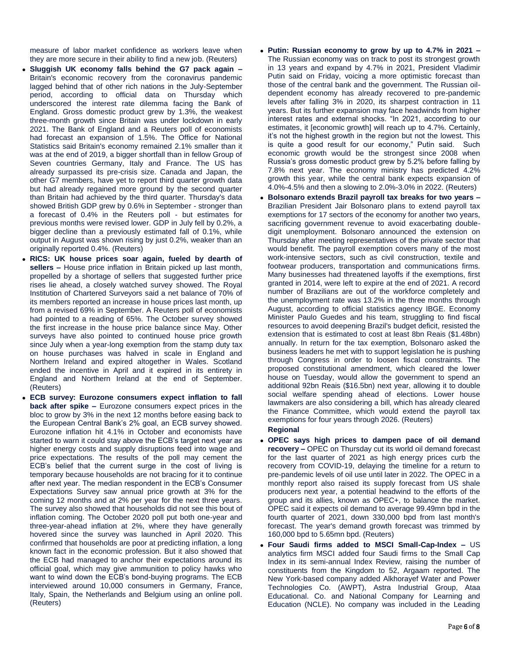measure of labor market confidence as workers leave when they are more secure in their ability to find a new job. (Reuters)

- **Sluggish UK economy falls behind the G7 pack again –** Britain's economic recovery from the coronavirus pandemic lagged behind that of other rich nations in the July-September period, according to official data on Thursday which underscored the interest rate dilemma facing the Bank of England. Gross domestic product grew by 1.3%, the weakest three-month growth since Britain was under lockdown in early 2021. The Bank of England and a Reuters poll of economists had forecast an expansion of 1.5%. The Office for National Statistics said Britain's economy remained 2.1% smaller than it was at the end of 2019, a bigger shortfall than in fellow Group of Seven countries Germany, Italy and France. The US has already surpassed its pre-crisis size. Canada and Japan, the other G7 members, have yet to report third quarter growth data but had already regained more ground by the second quarter than Britain had achieved by the third quarter. Thursday's data showed British GDP grew by 0.6% in September - stronger than a forecast of 0.4% in the Reuters poll - but estimates for previous months were revised lower. GDP in July fell by 0.2%, a bigger decline than a previously estimated fall of 0.1%, while output in August was shown rising by just 0.2%, weaker than an originally reported 0.4%. (Reuters)
- **RICS: UK house prices soar again, fueled by dearth of sellers –** House price inflation in Britain picked up last month, propelled by a shortage of sellers that suggested further price rises lie ahead, a closely watched survey showed. The Royal Institution of Chartered Surveyors said a net balance of 70% of its members reported an increase in house prices last month, up from a revised 69% in September. A Reuters poll of economists had pointed to a reading of 65%. The October survey showed the first increase in the house price balance since May. Other surveys have also pointed to continued house price growth since July when a year-long exemption from the stamp duty tax on house purchases was halved in scale in England and Northern Ireland and expired altogether in Wales. Scotland ended the incentive in April and it expired in its entirety in England and Northern Ireland at the end of September. (Reuters)
- **ECB survey: Eurozone consumers expect inflation to fall back after spike –** Eurozone consumers expect prices in the bloc to grow by 3% in the next 12 months before easing back to the European Central Bank's 2% goal, an ECB survey showed. Eurozone inflation hit 4.1% in October and economists have started to warn it could stay above the ECB's target next year as higher energy costs and supply disruptions feed into wage and price expectations. The results of the poll may cement the ECB's belief that the current surge in the cost of living is temporary because households are not bracing for it to continue after next year. The median respondent in the ECB's Consumer Expectations Survey saw annual price growth at 3% for the coming 12 months and at 2% per year for the next three years. The survey also showed that households did not see this bout of inflation coming. The October 2020 poll put both one-year and three-year-ahead inflation at 2%, where they have generally hovered since the survey was launched in April 2020. This confirmed that households are poor at predicting inflation, a long known fact in the economic profession. But it also showed that the ECB had managed to anchor their expectations around its official goal, which may give ammunition to policy hawks who want to wind down the ECB's bond-buying programs. The ECB interviewed around 10,000 consumers in Germany, France, Italy, Spain, the Netherlands and Belgium using an online poll. (Reuters)
- **Putin: Russian economy to grow by up to 4.7% in 2021 –** The Russian economy was on track to post its strongest growth in 13 years and expand by 4.7% in 2021, President Vladimir Putin said on Friday, voicing a more optimistic forecast than those of the central bank and the government. The Russian oildependent economy has already recovered to pre-pandemic levels after falling 3% in 2020, its sharpest contraction in 11 years. But its further expansion may face headwinds from higher interest rates and external shocks. "In 2021, according to our estimates, it [economic growth] will reach up to 4.7%. Certainly, it's not the highest growth in the region but not the lowest. This is quite a good result for our economy," Putin said. Such economic growth would be the strongest since 2008 when Russia's gross domestic product grew by 5.2% before falling by 7.8% next year. The economy ministry has predicted 4.2% growth this year, while the central bank expects expansion of 4.0%-4.5% and then a slowing to 2.0%-3.0% in 2022. (Reuters)
- **Bolsonaro extends Brazil payroll tax breaks for two years –** Brazilian President Jair Bolsonaro plans to extend payroll tax exemptions for 17 sectors of the economy for another two years, sacrificing government revenue to avoid exacerbating doubledigit unemployment. Bolsonaro announced the extension on Thursday after meeting representatives of the private sector that would benefit. The payroll exemption covers many of the most work-intensive sectors, such as civil construction, textile and footwear producers, transportation and communications firms. Many businesses had threatened layoffs if the exemptions, first granted in 2014, were left to expire at the end of 2021. A record number of Brazilians are out of the workforce completely and the unemployment rate was 13.2% in the three months through August, according to official statistics agency IBGE. Economy Minister Paulo Guedes and his team, struggling to find fiscal resources to avoid deepening Brazil's budget deficit, resisted the extension that is estimated to cost at least 8bn Reais (\$1.48bn) annually. In return for the tax exemption, Bolsonaro asked the business leaders he met with to support legislation he is pushing through Congress in order to loosen fiscal constraints. The proposed constitutional amendment, which cleared the lower house on Tuesday, would allow the government to spend an additional 92bn Reais (\$16.5bn) next year, allowing it to double social welfare spending ahead of elections. Lower house lawmakers are also considering a bill, which has already cleared the Finance Committee, which would extend the payroll tax exemptions for four years through 2026. (Reuters)

## **Regional**

- **OPEC says high prices to dampen pace of oil demand recovery –** OPEC on Thursday cut its world oil demand forecast for the last quarter of 2021 as high energy prices curb the recovery from COVID-19, delaying the timeline for a return to pre-pandemic levels of oil use until later in 2022. The OPEC in a monthly report also raised its supply forecast from US shale producers next year, a potential headwind to the efforts of the group and its allies, known as OPEC+, to balance the market. OPEC said it expects oil demand to average 99.49mn bpd in the fourth quarter of 2021, down 330,000 bpd from last month's forecast. The year's demand growth forecast was trimmed by 160,000 bpd to 5.65mn bpd. (Reuters)
- **Four Saudi firms added to MSCI Small-Cap-Index –** US analytics firm MSCI added four Saudi firms to the Small Cap Index in its semi-annual Index Review, raising the number of constituents from the Kingdom to 52, Argaam reported. The New York-based company added Alkhorayef Water and Power Technologies Co. (AWPT), Astra Industrial Group, Ataa Educational. Co. and National Company for Learning and Education (NCLE). No company was included in the Leading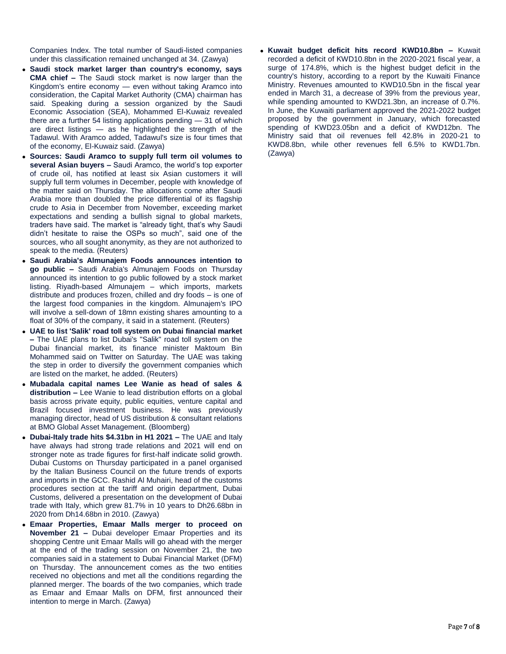Companies Index. The total number of Saudi-listed companies under this classification remained unchanged at 34. (Zawya)

- **Saudi stock market larger than country's economy, says CMA chief –** The Saudi stock market is now larger than the Kingdom's entire economy — even without taking Aramco into consideration, the Capital Market Authority (CMA) chairman has said. Speaking during a session organized by the Saudi Economic Association (SEA), Mohammed El-Kuwaiz revealed there are a further 54 listing applications pending — 31 of which are direct listings — as he highlighted the strength of the Tadawul. With Aramco added, Tadawul's size is four times that of the economy, El-Kuwaiz said. (Zawya)
- **Sources: Saudi Aramco to supply full term oil volumes to several Asian buyers –** Saudi Aramco, the world's top exporter of crude oil, has notified at least six Asian customers it will supply full term volumes in December, people with knowledge of the matter said on Thursday. The allocations come after Saudi Arabia more than doubled the price differential of its flagship crude to Asia in December from November, exceeding market expectations and sending a bullish signal to global markets, traders have said. The market is "already tight, that's why Saudi didn't hesitate to raise the OSPs so much", said one of the sources, who all sought anonymity, as they are not authorized to speak to the media. (Reuters)
- **Saudi Arabia's Almunajem Foods announces intention to go public –** Saudi Arabia's Almunajem Foods on Thursday announced its intention to go public followed by a stock market listing. Riyadh-based Almunajem – which imports, markets distribute and produces frozen, chilled and dry foods – is one of the largest food companies in the kingdom. Almunajem's IPO will involve a sell-down of 18mn existing shares amounting to a float of 30% of the company, it said in a statement. (Reuters)
- **UAE to list 'Salik' road toll system on Dubai financial market –** The UAE plans to list Dubai's "Salik" road toll system on the Dubai financial market, its finance minister Maktoum Bin Mohammed said on Twitter on Saturday. The UAE was taking the step in order to diversify the government companies which are listed on the market, he added. (Reuters)
- **Mubadala capital names Lee Wanie as head of sales & distribution –** Lee Wanie to lead distribution efforts on a global basis across private equity, public equities, venture capital and Brazil focused investment business. He was previously managing director, head of US distribution & consultant relations at BMO Global Asset Management. (Bloomberg)
- **Dubai-Italy trade hits \$4.31bn in H1 2021 –** The UAE and Italy have always had strong trade relations and 2021 will end on stronger note as trade figures for first-half indicate solid growth. Dubai Customs on Thursday participated in a panel organised by the Italian Business Council on the future trends of exports and imports in the GCC. Rashid Al Muhairi, head of the customs procedures section at the tariff and origin department, Dubai Customs, delivered a presentation on the development of Dubai trade with Italy, which grew 81.7% in 10 years to Dh26.68bn in 2020 from Dh14.68bn in 2010. (Zawya)
- **Emaar Properties, Emaar Malls merger to proceed on November 21 –** Dubai developer Emaar Properties and its shopping Centre unit Emaar Malls will go ahead with the merger at the end of the trading session on November 21, the two companies said in a statement to Dubai Financial Market (DFM) on Thursday. The announcement comes as the two entities received no objections and met all the conditions regarding the planned merger. The boards of the two companies, which trade as Emaar and Emaar Malls on DFM, first announced their intention to merge in March. (Zawya)

 **Kuwait budget deficit hits record KWD10.8bn –** Kuwait recorded a deficit of KWD10.8bn in the 2020-2021 fiscal year, a surge of 174.8%, which is the highest budget deficit in the country's history, according to a report by the Kuwaiti Finance Ministry. Revenues amounted to KWD10.5bn in the fiscal year ended in March 31, a decrease of 39% from the previous year, while spending amounted to KWD21.3bn, an increase of 0.7%. In June, the Kuwaiti parliament approved the 2021-2022 budget proposed by the government in January, which forecasted spending of KWD23.05bn and a deficit of KWD12bn. The Ministry said that oil revenues fell 42.8% in 2020-21 to KWD8.8bn, while other revenues fell 6.5% to KWD1.7bn. (Zawya)